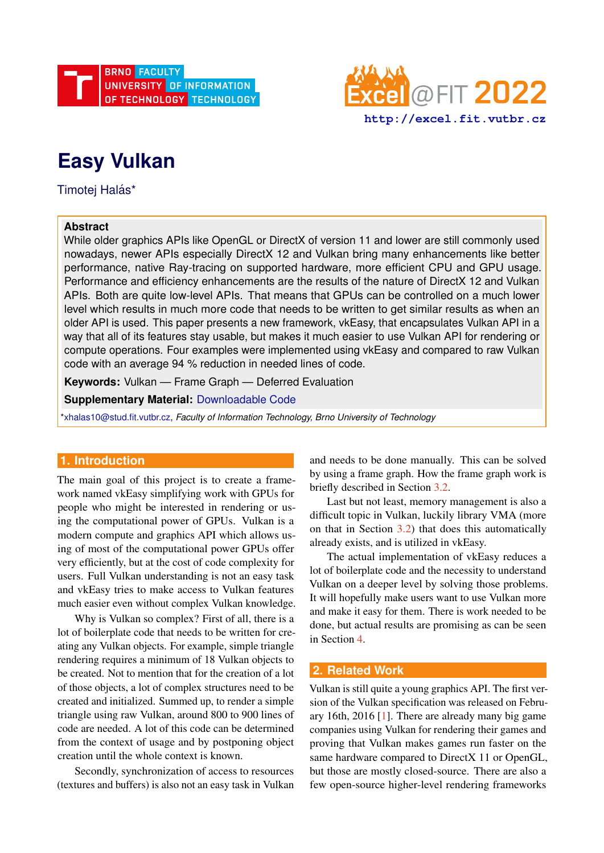



# **Easy Vulkan**

Timotej Halás\*

## **Abstract**

While older graphics APIs like OpenGL or DirectX of version 11 and lower are still commonly used nowadays, newer APIs especially DirectX 12 and Vulkan bring many enhancements like better performance, native Ray-tracing on supported hardware, more efficient CPU and GPU usage. Performance and efficiency enhancements are the results of the nature of DirectX 12 and Vulkan APIs. Both are quite low-level APIs. That means that GPUs can be controlled on a much lower level which results in much more code that needs to be written to get similar results as when an older API is used. This paper presents a new framework, vkEasy, that encapsulates Vulkan API in a way that all of its features stay usable, but makes it much easier to use Vulkan API for rendering or compute operations. Four examples were implemented using vkEasy and compared to raw Vulkan code with an average 94 % reduction in needed lines of code.

**Keywords:** Vulkan — Frame Graph — Deferred Evaluation

**Supplementary Material:** [Downloadable Code](https://github.com/timoti111/vkEasy/)

[\\*xhalas10@stud.fit.vutbr.cz,](mailto:xhalas10@stud.fit.vutbr.cz) *Faculty of Information Technology, Brno University of Technology*

# **1. Introduction**

The main goal of this project is to create a framework named vkEasy simplifying work with GPUs for people who might be interested in rendering or using the computational power of GPUs. Vulkan is a modern compute and graphics API which allows using of most of the computational power GPUs offer very efficiently, but at the cost of code complexity for users. Full Vulkan understanding is not an easy task and vkEasy tries to make access to Vulkan features much easier even without complex Vulkan knowledge.

Why is Vulkan so complex? First of all, there is a lot of boilerplate code that needs to be written for creating any Vulkan objects. For example, simple triangle rendering requires a minimum of 18 Vulkan objects to be created. Not to mention that for the creation of a lot of those objects, a lot of complex structures need to be created and initialized. Summed up, to render a simple triangle using raw Vulkan, around 800 to 900 lines of code are needed. A lot of this code can be determined from the context of usage and by postponing object creation until the whole context is known.

Secondly, synchronization of access to resources (textures and buffers) is also not an easy task in Vulkan and needs to be done manually. This can be solved by using a frame graph. How the frame graph work is briefly described in Section [3.2.](#page-1-0)

Last but not least, memory management is also a difficult topic in Vulkan, luckily library VMA (more on that in Section  $3.2$ ) that does this automatically already exists, and is utilized in vkEasy.

The actual implementation of vkEasy reduces a lot of boilerplate code and the necessity to understand Vulkan on a deeper level by solving those problems. It will hopefully make users want to use Vulkan more and make it easy for them. There is work needed to be done, but actual results are promising as can be seen in Section [4.](#page-3-0)

## **2. Related Work**

Vulkan is still quite a young graphics API. The first version of the Vulkan specification was released on February 16th, 2016 [\[1\]](#page-4-0). There are already many big game companies using Vulkan for rendering their games and proving that Vulkan makes games run faster on the same hardware compared to DirectX 11 or OpenGL, but those are mostly closed-source. There are also a few open-source higher-level rendering frameworks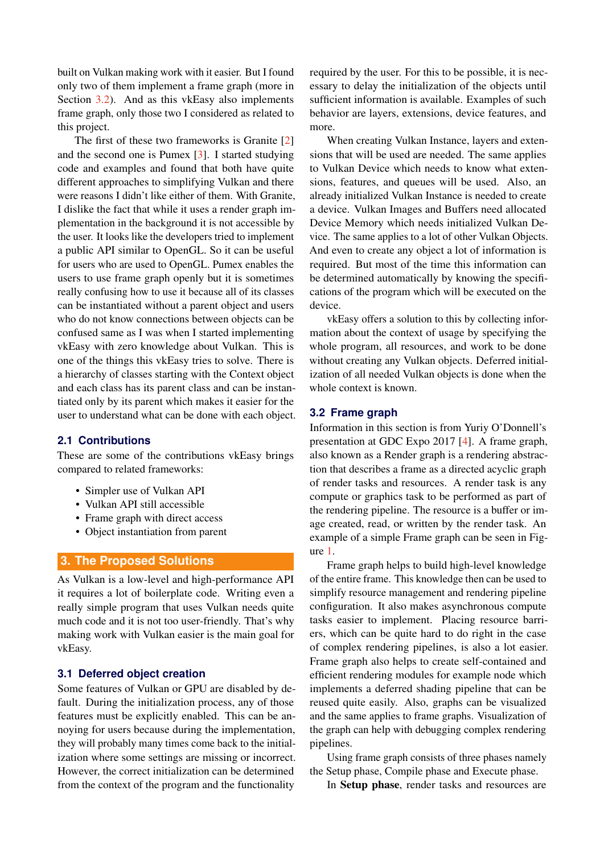built on Vulkan making work with it easier. But I found only two of them implement a frame graph (more in Section [3.2\)](#page-1-0). And as this vkEasy also implements frame graph, only those two I considered as related to this project.

The first of these two frameworks is Granite [\[2\]](#page-4-1) and the second one is Pumex [\[3\]](#page-4-2). I started studying code and examples and found that both have quite different approaches to simplifying Vulkan and there were reasons I didn't like either of them. With Granite, I dislike the fact that while it uses a render graph implementation in the background it is not accessible by the user. It looks like the developers tried to implement a public API similar to OpenGL. So it can be useful for users who are used to OpenGL. Pumex enables the users to use frame graph openly but it is sometimes really confusing how to use it because all of its classes can be instantiated without a parent object and users who do not know connections between objects can be confused same as I was when I started implementing vkEasy with zero knowledge about Vulkan. This is one of the things this vkEasy tries to solve. There is a hierarchy of classes starting with the Context object and each class has its parent class and can be instantiated only by its parent which makes it easier for the user to understand what can be done with each object.

#### **2.1 Contributions**

These are some of the contributions vkEasy brings compared to related frameworks:

- Simpler use of Vulkan API
- Vulkan API still accessible
- Frame graph with direct access
- Object instantiation from parent

## **3. The Proposed Solutions**

As Vulkan is a low-level and high-performance API it requires a lot of boilerplate code. Writing even a really simple program that uses Vulkan needs quite much code and it is not too user-friendly. That's why making work with Vulkan easier is the main goal for vkEasy.

## **3.1 Deferred object creation**

Some features of Vulkan or GPU are disabled by default. During the initialization process, any of those features must be explicitly enabled. This can be annoying for users because during the implementation, they will probably many times come back to the initialization where some settings are missing or incorrect. However, the correct initialization can be determined from the context of the program and the functionality required by the user. For this to be possible, it is necessary to delay the initialization of the objects until sufficient information is available. Examples of such behavior are layers, extensions, device features, and more.

When creating Vulkan Instance, layers and extensions that will be used are needed. The same applies to Vulkan Device which needs to know what extensions, features, and queues will be used. Also, an already initialized Vulkan Instance is needed to create a device. Vulkan Images and Buffers need allocated Device Memory which needs initialized Vulkan Device. The same applies to a lot of other Vulkan Objects. And even to create any object a lot of information is required. But most of the time this information can be determined automatically by knowing the specifications of the program which will be executed on the device.

vkEasy offers a solution to this by collecting information about the context of usage by specifying the whole program, all resources, and work to be done without creating any Vulkan objects. Deferred initialization of all needed Vulkan objects is done when the whole context is known.

#### <span id="page-1-0"></span>**3.2 Frame graph**

Information in this section is from Yuriy O'Donnell's presentation at GDC Expo 2017 [\[4\]](#page-4-3). A frame graph, also known as a Render graph is a rendering abstraction that describes a frame as a directed acyclic graph of render tasks and resources. A render task is any compute or graphics task to be performed as part of the rendering pipeline. The resource is a buffer or image created, read, or written by the render task. An example of a simple Frame graph can be seen in Figure [1.](#page-2-0)

Frame graph helps to build high-level knowledge of the entire frame. This knowledge then can be used to simplify resource management and rendering pipeline configuration. It also makes asynchronous compute tasks easier to implement. Placing resource barriers, which can be quite hard to do right in the case of complex rendering pipelines, is also a lot easier. Frame graph also helps to create self-contained and efficient rendering modules for example node which implements a deferred shading pipeline that can be reused quite easily. Also, graphs can be visualized and the same applies to frame graphs. Visualization of the graph can help with debugging complex rendering pipelines.

Using frame graph consists of three phases namely the Setup phase, Compile phase and Execute phase.

In Setup phase, render tasks and resources are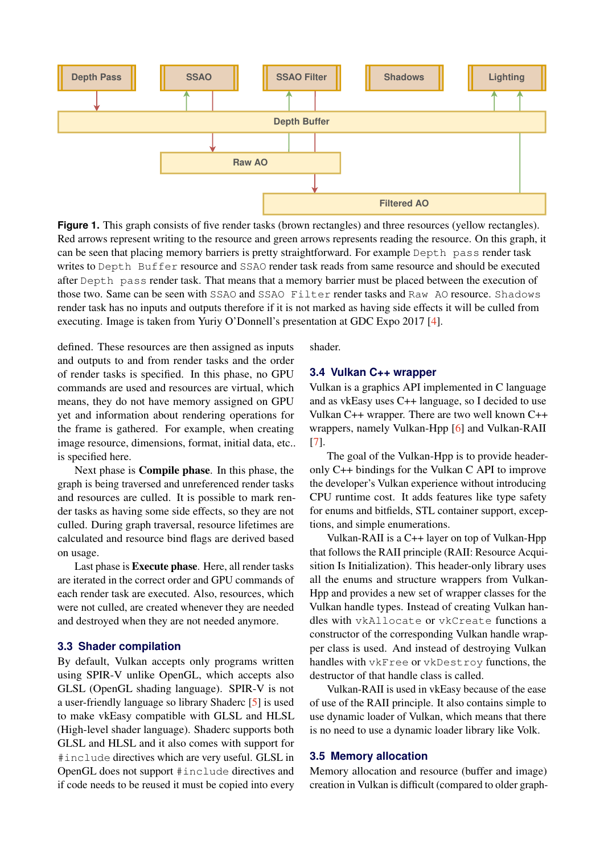<span id="page-2-0"></span>

**Figure 1.** This graph consists of five render tasks (brown rectangles) and three resources (yellow rectangles). Red arrows represent writing to the resource and green arrows represents reading the resource. On this graph, it can be seen that placing memory barriers is pretty straightforward. For example Depth pass render task writes to Depth Buffer resource and SSAO render task reads from same resource and should be executed after Depth pass render task. That means that a memory barrier must be placed between the execution of those two. Same can be seen with SSAO and SSAO Filter render tasks and Raw AO resource. Shadows render task has no inputs and outputs therefore if it is not marked as having side effects it will be culled from executing. Image is taken from Yuriy O'Donnell's presentation at GDC Expo 2017 [\[4\]](#page-4-3).

defined. These resources are then assigned as inputs and outputs to and from render tasks and the order of render tasks is specified. In this phase, no GPU commands are used and resources are virtual, which means, they do not have memory assigned on GPU yet and information about rendering operations for the frame is gathered. For example, when creating image resource, dimensions, format, initial data, etc.. is specified here.

Next phase is Compile phase. In this phase, the graph is being traversed and unreferenced render tasks and resources are culled. It is possible to mark render tasks as having some side effects, so they are not culled. During graph traversal, resource lifetimes are calculated and resource bind flags are derived based on usage.

Last phase is Execute phase. Here, all render tasks are iterated in the correct order and GPU commands of each render task are executed. Also, resources, which were not culled, are created whenever they are needed and destroyed when they are not needed anymore.

#### **3.3 Shader compilation**

By default, Vulkan accepts only programs written using SPIR-V unlike OpenGL, which accepts also GLSL (OpenGL shading language). SPIR-V is not a user-friendly language so library Shaderc [\[5\]](#page-4-4) is used to make vkEasy compatible with GLSL and HLSL (High-level shader language). Shaderc supports both GLSL and HLSL and it also comes with support for #include directives which are very useful. GLSL in OpenGL does not support #include directives and if code needs to be reused it must be copied into every shader.

#### **3.4 Vulkan C++ wrapper**

Vulkan is a graphics API implemented in C language and as vkEasy uses C++ language, so I decided to use Vulkan C++ wrapper. There are two well known C++ wrappers, namely Vulkan-Hpp [\[6\]](#page-4-5) and Vulkan-RAII [\[7\]](#page-4-6).

The goal of the Vulkan-Hpp is to provide headeronly C++ bindings for the Vulkan C API to improve the developer's Vulkan experience without introducing CPU runtime cost. It adds features like type safety for enums and bitfields, STL container support, exceptions, and simple enumerations.

Vulkan-RAII is a C++ layer on top of Vulkan-Hpp that follows the RAII principle (RAII: Resource Acquisition Is Initialization). This header-only library uses all the enums and structure wrappers from Vulkan-Hpp and provides a new set of wrapper classes for the Vulkan handle types. Instead of creating Vulkan handles with vkAllocate or vkCreate functions a constructor of the corresponding Vulkan handle wrapper class is used. And instead of destroying Vulkan handles with vkFree or vkDestroy functions, the destructor of that handle class is called.

Vulkan-RAII is used in vkEasy because of the ease of use of the RAII principle. It also contains simple to use dynamic loader of Vulkan, which means that there is no need to use a dynamic loader library like Volk.

#### **3.5 Memory allocation**

Memory allocation and resource (buffer and image) creation in Vulkan is difficult (compared to older graph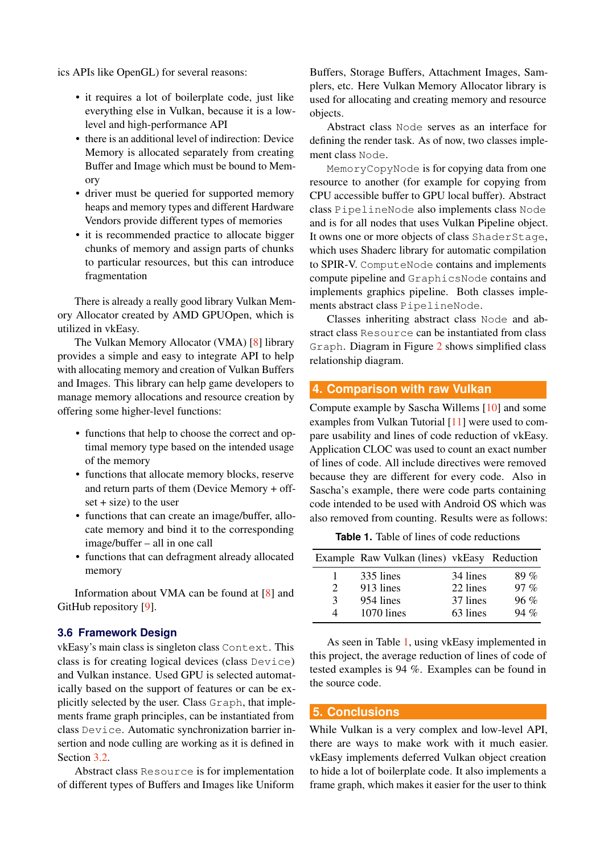ics APIs like OpenGL) for several reasons:

- it requires a lot of boilerplate code, just like everything else in Vulkan, because it is a lowlevel and high-performance API
- there is an additional level of indirection: Device Memory is allocated separately from creating Buffer and Image which must be bound to Memory
- driver must be queried for supported memory heaps and memory types and different Hardware Vendors provide different types of memories
- it is recommended practice to allocate bigger chunks of memory and assign parts of chunks to particular resources, but this can introduce fragmentation

There is already a really good library Vulkan Memory Allocator created by AMD GPUOpen, which is utilized in vkEasy.

The Vulkan Memory Allocator (VMA) [\[8\]](#page-4-7) library provides a simple and easy to integrate API to help with allocating memory and creation of Vulkan Buffers and Images. This library can help game developers to manage memory allocations and resource creation by offering some higher-level functions:

- functions that help to choose the correct and optimal memory type based on the intended usage of the memory
- functions that allocate memory blocks, reserve and return parts of them (Device Memory + off $set + size$ ) to the user
- functions that can create an image/buffer, allocate memory and bind it to the corresponding image/buffer – all in one call
- functions that can defragment already allocated memory

Information about VMA can be found at [\[8\]](#page-4-7) and GitHub repository [\[9\]](#page-4-8).

#### **3.6 Framework Design**

vkEasy's main class is singleton class Context. This class is for creating logical devices (class Device) and Vulkan instance. Used GPU is selected automatically based on the support of features or can be explicitly selected by the user. Class Graph, that implements frame graph principles, can be instantiated from class Device. Automatic synchronization barrier insertion and node culling are working as it is defined in Section [3.2.](#page-1-0)

Abstract class Resource is for implementation of different types of Buffers and Images like Uniform

Buffers, Storage Buffers, Attachment Images, Samplers, etc. Here Vulkan Memory Allocator library is used for allocating and creating memory and resource objects.

Abstract class Node serves as an interface for defining the render task. As of now, two classes implement class Node.

MemoryCopyNode is for copying data from one resource to another (for example for copying from CPU accessible buffer to GPU local buffer). Abstract class PipelineNode also implements class Node and is for all nodes that uses Vulkan Pipeline object. It owns one or more objects of class ShaderStage, which uses Shaderc library for automatic compilation to SPIR-V. ComputeNode contains and implements compute pipeline and GraphicsNode contains and implements graphics pipeline. Both classes implements abstract class PipelineNode.

Classes inheriting abstract class Node and abstract class Resource can be instantiated from class Graph. Diagram in Figure [2](#page-4-9) shows simplified class relationship diagram.

## <span id="page-3-0"></span>**4. Comparison with raw Vulkan**

Compute example by Sascha Willems [\[10\]](#page-4-10) and some examples from Vulkan Tutorial [\[11\]](#page-4-11) were used to compare usability and lines of code reduction of vkEasy. Application CLOC was used to count an exact number of lines of code. All include directives were removed because they are different for every code. Also in Sascha's example, there were code parts containing code intended to be used with Android OS which was also removed from counting. Results were as follows:

**Table 1.** Table of lines of code reductions

<span id="page-3-1"></span>

|               | Example Raw Vulkan (lines) vkEasy Reduction |          |        |
|---------------|---------------------------------------------|----------|--------|
|               | 335 lines                                   | 34 lines | $89\%$ |
| $\mathcal{D}$ | 913 lines                                   | 22 lines | $97\%$ |
| $\mathcal{E}$ | 954 lines                                   | 37 lines | $96\%$ |
| Δ             | 1070 lines                                  | 63 lines | $94\%$ |

As seen in Table [1,](#page-3-1) using vkEasy implemented in this project, the average reduction of lines of code of tested examples is 94 %. Examples can be found in the source code.

#### **5. Conclusions**

While Vulkan is a very complex and low-level API, there are ways to make work with it much easier. vkEasy implements deferred Vulkan object creation to hide a lot of boilerplate code. It also implements a frame graph, which makes it easier for the user to think